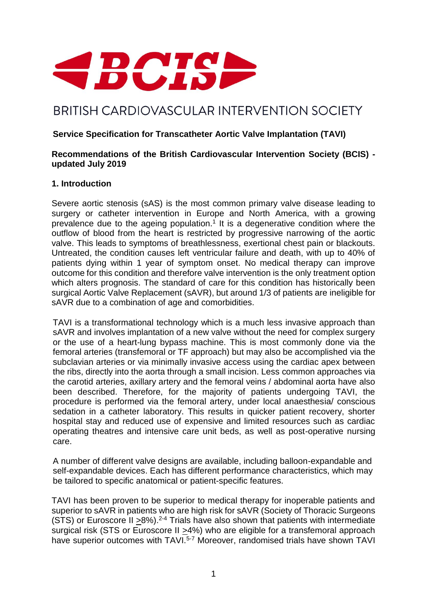

# BRITISH CARDIOVASCULAR INTERVENTION SOCIETY

## **Service Specification for Transcatheter Aortic Valve Implantation (TAVI)**

#### **Recommendations of the British Cardiovascular Intervention Society (BCIS) updated July 2019**

#### **1. Introduction**

Severe aortic stenosis (sAS) is the most common primary valve disease leading to surgery or catheter intervention in Europe and North America, with a growing prevalence due to the ageing population.<sup>1</sup> It is a degenerative condition where the outflow of blood from the heart is restricted by progressive narrowing of the aortic valve. This leads to symptoms of breathlessness, exertional chest pain or blackouts. Untreated, the condition causes left ventricular failure and death, with up to 40% of patients dying within 1 year of symptom onset. No medical therapy can improve outcome for this condition and therefore valve intervention is the only treatment option which alters prognosis. The standard of care for this condition has historically been surgical Aortic Valve Replacement (sAVR), but around 1/3 of patients are ineligible for sAVR due to a combination of age and comorbidities.

TAVI is a transformational technology which is a much less invasive approach than sAVR and involves implantation of a new valve without the need for complex surgery or the use of a heart-lung bypass machine. This is most commonly done via the femoral arteries (transfemoral or TF approach) but may also be accomplished via the subclavian arteries or via minimally invasive access using the cardiac apex between the ribs, directly into the aorta through a small incision. Less common approaches via the carotid arteries, axillary artery and the femoral veins / abdominal aorta have also been described. Therefore, for the majority of patients undergoing TAVI, the procedure is performed via the femoral artery, under local anaesthesia/ conscious sedation in a catheter laboratory. This results in quicker patient recovery, shorter hospital stay and reduced use of expensive and limited resources such as cardiac operating theatres and intensive care unit beds, as well as post-operative nursing care.

A number of different valve designs are available, including balloon-expandable and self-expandable devices. Each has different performance characteristics, which may be tailored to specific anatomical or patient-specific features.

TAVI has been proven to be superior to medical therapy for inoperable patients and superior to sAVR in patients who are high risk for sAVR (Society of Thoracic Surgeons (STS) or Euroscore II  $>8\%$ ).<sup>2-4</sup> Trials have also shown that patients with intermediate surgical risk (STS or Euroscore II >4%) who are eligible for a transfemoral approach have superior outcomes with TAVI.<sup>5-7</sup> Moreover, randomised trials have shown TAVI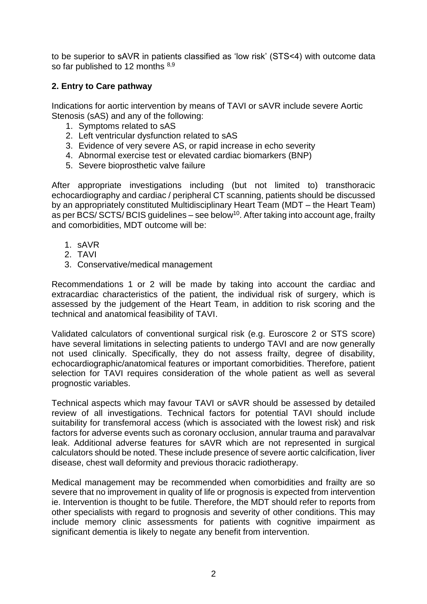to be superior to sAVR in patients classified as 'low risk' (STS<4) with outcome data so far published to 12 months 8,9

# **2. Entry to Care pathway**

Indications for aortic intervention by means of TAVI or sAVR include severe Aortic Stenosis (sAS) and any of the following:

- 1. Symptoms related to sAS
- 2. Left ventricular dysfunction related to sAS
- 3. Evidence of very severe AS, or rapid increase in echo severity
- 4. Abnormal exercise test or elevated cardiac biomarkers (BNP)
- 5. Severe bioprosthetic valve failure

After appropriate investigations including (but not limited to) transthoracic echocardiography and cardiac / peripheral CT scanning, patients should be discussed by an appropriately constituted Multidisciplinary Heart Team (MDT – the Heart Team) as per BCS/ SCTS/ BCIS guidelines – see below<sup>10</sup>. After taking into account age, frailty and comorbidities, MDT outcome will be:

- 1. sAVR
- 2. TAVI
- 3. Conservative/medical management

Recommendations 1 or 2 will be made by taking into account the cardiac and extracardiac characteristics of the patient, the individual risk of surgery, which is assessed by the judgement of the Heart Team, in addition to risk scoring and the technical and anatomical feasibility of TAVI.

Validated calculators of conventional surgical risk (e.g. Euroscore 2 or STS score) have several limitations in selecting patients to undergo TAVI and are now generally not used clinically. Specifically, they do not assess frailty, degree of disability, echocardiographic/anatomical features or important comorbidities. Therefore, patient selection for TAVI requires consideration of the whole patient as well as several prognostic variables.

Technical aspects which may favour TAVI or sAVR should be assessed by detailed review of all investigations. Technical factors for potential TAVI should include suitability for transfemoral access (which is associated with the lowest risk) and risk factors for adverse events such as coronary occlusion, annular trauma and paravalvar leak. Additional adverse features for sAVR which are not represented in surgical calculators should be noted. These include presence of severe aortic calcification, liver disease, chest wall deformity and previous thoracic radiotherapy.

Medical management may be recommended when comorbidities and frailty are so severe that no improvement in quality of life or prognosis is expected from intervention ie. Intervention is thought to be futile. Therefore, the MDT should refer to reports from other specialists with regard to prognosis and severity of other conditions. This may include memory clinic assessments for patients with cognitive impairment as significant dementia is likely to negate any benefit from intervention.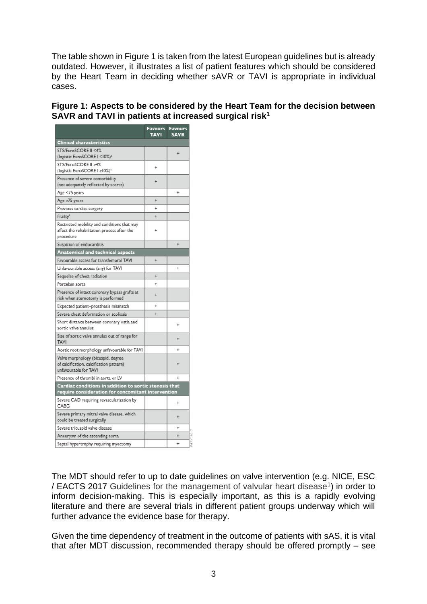The table shown in Figure 1 is taken from the latest European guidelines but is already outdated. However, it illustrates a list of patient features which should be considered by the Heart Team in deciding whether sAVR or TAVI is appropriate in individual cases.

## **Figure 1: Aspects to be considered by the Heart Team for the decision between SAVR and TAVI in patients at increased surgical risk<sup>1</sup>**

|                                                                                                              | <b>Favours</b><br><b>TAVI</b> | <b>Favours</b><br><b>SAVR</b> |
|--------------------------------------------------------------------------------------------------------------|-------------------------------|-------------------------------|
| <b>Clinical characteristics</b>                                                                              |                               |                               |
| STS/EuroSCORE II <4%<br>(logistic EuroSCORE I <10%) <sup>2</sup>                                             |                               | 4                             |
| STS/EuroSCORE II ≥4%<br>(logistic EuroSCORE I ≥10%)*                                                         | $\ddot{}$                     |                               |
| Presence of severe comorbidity<br>(not adequately reflected by scores)                                       | ÷                             |                               |
| Age <75 years                                                                                                |                               | ÷                             |
| Age ≥75 years                                                                                                | $\ddot{}$                     |                               |
| Previous cardiac surgery                                                                                     | $\ddot{}$                     |                               |
| Frailtyb                                                                                                     | $\ddot{}$                     |                               |
| Restricted mobility and conditions that may<br>affect the rehabilitation process after the<br>procedure      |                               |                               |
| Suspicion of endocarditis                                                                                    |                               | $\ddot{}$                     |
| <b>Anatomical and technical aspects</b>                                                                      |                               |                               |
| Favourable access for transfemoral TAVI                                                                      | $\ddot{}$                     |                               |
| Unfavourable access (any) for TAVI                                                                           |                               | $\ddot{}$                     |
| Sequelae of chest radiation                                                                                  | ÷                             |                               |
| Porcelain aorta                                                                                              | ÷                             |                               |
| Presence of intact coronary bypass grafts at<br>risk when sternotomy is performed                            | ÷                             |                               |
| Expected patient-prosthesis mismatch                                                                         | $\ddot{}$                     |                               |
| Severe chest deformation or scoliosis                                                                        | $\ddot{}$                     |                               |
| Short distance between coronary ostia and<br>aortic valve annulus                                            |                               | $\ddot{}$                     |
| Size of aortic valve annulus out of range for<br><b>TAVI</b>                                                 |                               | $\ddot{}$                     |
| Aortic root morphology unfavourable for TAVI                                                                 |                               | ÷                             |
| Valve morphology (bicuspid, degree<br>of calcification, calcification pattern)<br>unfavourable for TAVI      |                               | ÷                             |
| Presence of thrombi in aorta or LV                                                                           |                               | $\ddot{}$                     |
| Cardiac conditions in addition to aortic stenosis that<br>require consideration for concomitant intervention |                               |                               |
| Severe CAD requiring revascularization by<br>CARG                                                            |                               | $\ddot{}$                     |
| Severe primary mitral valve disease, which<br>could be treated surgically                                    |                               | $\ddot{}$                     |
| Severe tricuspid valve disease                                                                               |                               | $\ddot{}$                     |
| Aneurysm of the ascending aorta                                                                              |                               | $\ddot{}$                     |
| Septal hypertrophy requiring myectomy                                                                        |                               | $\ddot{}$                     |

The MDT should refer to up to date guidelines on valve intervention (e.g. NICE, ESC / EACTS 2017 Guidelines for the management of valvular heart disease<sup>1</sup>) in order to inform decision-making. This is especially important, as this is a rapidly evolving literature and there are several trials in different patient groups underway which will further advance the evidence base for therapy.

Given the time dependency of treatment in the outcome of patients with sAS, it is vital that after MDT discussion, recommended therapy should be offered promptly – see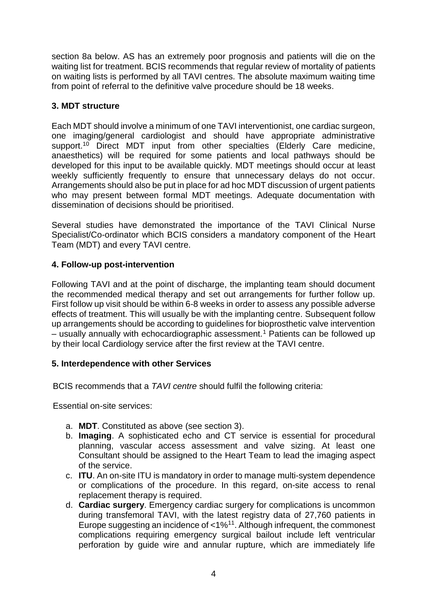section 8a below. AS has an extremely poor prognosis and patients will die on the waiting list for treatment. BCIS recommends that regular review of mortality of patients on waiting lists is performed by all TAVI centres. The absolute maximum waiting time from point of referral to the definitive valve procedure should be 18 weeks.

## **3. MDT structure**

Each MDT should involve a minimum of one TAVI interventionist, one cardiac surgeon, one imaging/general cardiologist and should have appropriate administrative support.<sup>10</sup> Direct MDT input from other specialties (Elderly Care medicine, anaesthetics) will be required for some patients and local pathways should be developed for this input to be available quickly. MDT meetings should occur at least weekly sufficiently frequently to ensure that unnecessary delays do not occur. Arrangements should also be put in place for ad hoc MDT discussion of urgent patients who may present between formal MDT meetings. Adequate documentation with dissemination of decisions should be prioritised.

Several studies have demonstrated the importance of the TAVI Clinical Nurse Specialist/Co-ordinator which BCIS considers a mandatory component of the Heart Team (MDT) and every TAVI centre.

## **4. Follow-up post-intervention**

Following TAVI and at the point of discharge, the implanting team should document the recommended medical therapy and set out arrangements for further follow up. First follow up visit should be within 6-8 weeks in order to assess any possible adverse effects of treatment. This will usually be with the implanting centre. Subsequent follow up arrangements should be according to guidelines for bioprosthetic valve intervention  $-$  usually annually with echocardiographic assessment.<sup>1</sup> Patients can be followed up by their local Cardiology service after the first review at the TAVI centre.

#### **5. Interdependence with other Services**

BCIS recommends that a *TAVI centre* should fulfil the following criteria:

Essential on-site services:

- a. **MDT**. Constituted as above (see section 3).
- b. **Imaging**. A sophisticated echo and CT service is essential for procedural planning, vascular access assessment and valve sizing. At least one Consultant should be assigned to the Heart Team to lead the imaging aspect of the service.
- c. **ITU**. An on-site ITU is mandatory in order to manage multi-system dependence or complications of the procedure. In this regard, on-site access to renal replacement therapy is required.
- d. **Cardiac surgery**. Emergency cardiac surgery for complications is uncommon during transfemoral TAVI, with the latest registry data of 27,760 patients in Europe suggesting an incidence of  $<$ 1%<sup>11</sup>. Although infrequent, the commonest complications requiring emergency surgical bailout include left ventricular perforation by guide wire and annular rupture, which are immediately life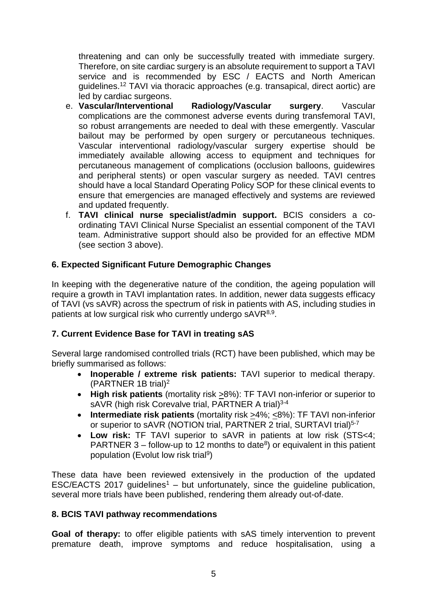threatening and can only be successfully treated with immediate surgery. Therefore, on site cardiac surgery is an absolute requirement to support a TAVI service and is recommended by ESC / EACTS and North American guidelines.<sup>12</sup> TAVI via thoracic approaches (e.g. transapical, direct aortic) are led by cardiac surgeons.

- e. **Vascular/Interventional Radiology/Vascular surgery**. Vascular complications are the commonest adverse events during transfemoral TAVI, so robust arrangements are needed to deal with these emergently. Vascular bailout may be performed by open surgery or percutaneous techniques. Vascular interventional radiology/vascular surgery expertise should be immediately available allowing access to equipment and techniques for percutaneous management of complications (occlusion balloons, guidewires and peripheral stents) or open vascular surgery as needed. TAVI centres should have a local Standard Operating Policy SOP for these clinical events to ensure that emergencies are managed effectively and systems are reviewed and updated frequently.
- f. **TAVI clinical nurse specialist/admin support.** BCIS considers a coordinating TAVI Clinical Nurse Specialist an essential component of the TAVI team. Administrative support should also be provided for an effective MDM (see section 3 above).

# **6. Expected Significant Future Demographic Changes**

In keeping with the degenerative nature of the condition, the ageing population will require a growth in TAVI implantation rates. In addition, newer data suggests efficacy of TAVI (vs sAVR) across the spectrum of risk in patients with AS, including studies in patients at low surgical risk who currently undergo sAVR<sup>8,9</sup>.

# **7. Current Evidence Base for TAVI in treating sAS**

Several large randomised controlled trials (RCT) have been published, which may be briefly summarised as follows:

- **Inoperable / extreme risk patients:** TAVI superior to medical therapy. (PARTNER 1B trial)<sup>2</sup>
- **High risk patients** (mortality risk >8%): TF TAVI non-inferior or superior to sAVR (high risk Corevalve trial, PARTNER A trial)<sup>3-4</sup>
- **Intermediate risk patients** (mortality risk >4%; <8%): TF TAVI non-inferior or superior to sAVR (NOTION trial, PARTNER 2 trial, SURTAVI trial)<sup>5-7</sup>
- **Low risk:** TF TAVI superior to sAVR in patients at low risk (STS<4; PARTNER  $3$  – follow-up to 12 months to date<sup>8</sup>) or equivalent in this patient population (Evolut low risk trial<sup>9</sup>)

These data have been reviewed extensively in the production of the updated ESC/EACTS 2017 quidelines<sup>1</sup> – but unfortunately, since the quideline publication, several more trials have been published, rendering them already out-of-date.

# **8. BCIS TAVI pathway recommendations**

**Goal of therapy:** to offer eligible patients with sAS timely intervention to prevent premature death, improve symptoms and reduce hospitalisation, using a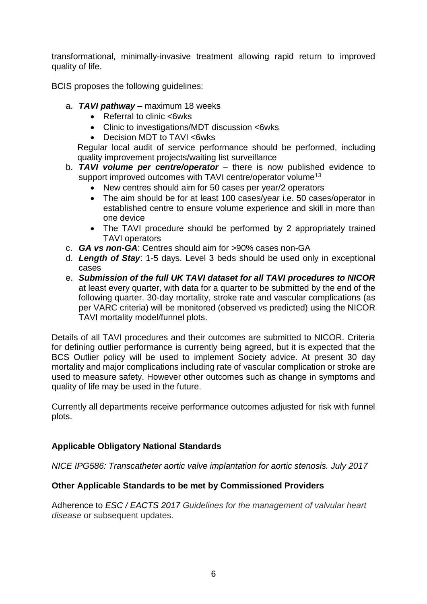transformational, minimally-invasive treatment allowing rapid return to improved quality of life.

BCIS proposes the following guidelines:

- a. *TAVI pathway* maximum 18 weeks
	- Referral to clinic <6wks
	- Clinic to investigations/MDT discussion <6wks
	- Decision MDT to TAVI <6wks

Regular local audit of service performance should be performed, including quality improvement projects/waiting list surveillance

- b. *TAVI volume per centre/operator* there is now published evidence to support improved outcomes with TAVI centre/operator volume<sup>13</sup>
	- New centres should aim for 50 cases per year/2 operators
	- The aim should be for at least 100 cases/year i.e. 50 cases/operator in established centre to ensure volume experience and skill in more than one device
	- The TAVI procedure should be performed by 2 appropriately trained TAVI operators
- c. *GA vs non-GA*: Centres should aim for >90% cases non-GA
- d. *Length of Stay*: 1-5 days. Level 3 beds should be used only in exceptional cases
- e. *Submission of the full UK TAVI dataset for all TAVI procedures to NICOR* at least every quarter, with data for a quarter to be submitted by the end of the following quarter. 30-day mortality, stroke rate and vascular complications (as per VARC criteria) will be monitored (observed vs predicted) using the NICOR TAVI mortality model/funnel plots.

Details of all TAVI procedures and their outcomes are submitted to NICOR. Criteria for defining outlier performance is currently being agreed, but it is expected that the BCS Outlier policy will be used to implement Society advice. At present 30 day mortality and major complications including rate of vascular complication or stroke are used to measure safety. However other outcomes such as change in symptoms and quality of life may be used in the future.

Currently all departments receive performance outcomes adjusted for risk with funnel plots.

# **Applicable Obligatory National Standards**

*NICE IPG586: Transcatheter aortic valve implantation for aortic stenosis. July 2017*

# **Other Applicable Standards to be met by Commissioned Providers**

Adherence to *ESC / EACTS 2017 Guidelines for the management of valvular heart disease* or subsequent updates.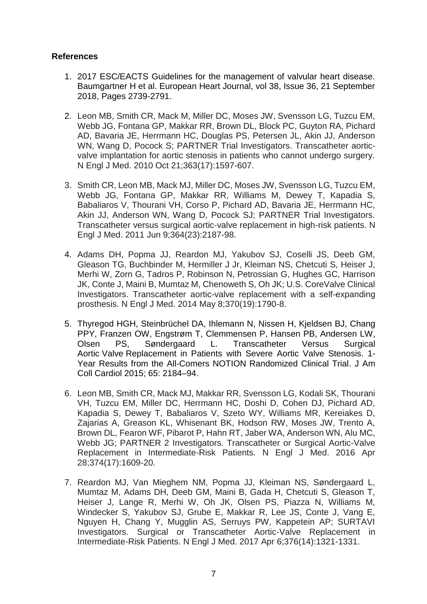## **References**

- 1. 2017 ESC/EACTS Guidelines for the management of valvular heart disease. Baumgartner H et al. European Heart Journal, vol 38, Issue 36, 21 September 2018, Pages 2739-2791.
- 2. Leon MB, Smith CR, Mack M, Miller DC, Moses JW, Svensson LG, Tuzcu EM, Webb JG, Fontana GP, Makkar RR, Brown DL, Block PC, Guyton RA, Pichard AD, Bavaria JE, Herrmann HC, Douglas PS, Petersen JL, Akin JJ, Anderson WN, Wang D, Pocock S; PARTNER Trial Investigators. Transcatheter aorticvalve implantation for aortic stenosis in patients who cannot undergo surgery. N Engl J Med. 2010 Oct 21;363(17):1597-607.
- 3. Smith CR, Leon MB, Mack MJ, Miller DC, Moses JW, Svensson LG, Tuzcu EM, Webb JG, Fontana GP, Makkar RR, Williams M, Dewey T, Kapadia S, Babaliaros V, Thourani VH, Corso P, Pichard AD, Bavaria JE, Herrmann HC, Akin JJ, Anderson WN, Wang D, Pocock SJ; PARTNER Trial Investigators. Transcatheter versus surgical aortic-valve replacement in high-risk patients. N Engl J Med. 2011 Jun 9;364(23):2187-98.
- 4. Adams DH, Popma JJ, Reardon MJ, Yakubov SJ, Coselli JS, Deeb GM, Gleason TG, Buchbinder M, Hermiller J Jr, Kleiman NS, Chetcuti S, Heiser J, Merhi W, Zorn G, Tadros P, Robinson N, Petrossian G, Hughes GC, Harrison JK, Conte J, Maini B, Mumtaz M, Chenoweth S, Oh JK; U.S. CoreValve Clinical Investigators. Transcatheter aortic-valve replacement with a self-expanding prosthesis. N Engl J Med. 2014 May 8;370(19):1790-8.
- 5. Thyregod HGH, Steinbrüchel DA, Ihlemann N, Nissen H, Kjeldsen BJ, Chang PPY, Franzen OW, Engstrøm T, Clemmensen P, Hansen PB, Andersen LW, Olsen PS, Søndergaard L. Transcatheter Versus Surgical Aortic Valve Replacement in Patients with Severe Aortic Valve Stenosis. 1- Year Results from the All-Comers NOTION Randomized Clinical Trial. J Am Coll Cardiol 2015; 65: 2184–94.
- 6. Leon MB, Smith CR, Mack MJ, Makkar RR, Svensson LG, Kodali SK, Thourani VH, Tuzcu EM, Miller DC, Herrmann HC, Doshi D, Cohen DJ, Pichard AD, Kapadia S, Dewey T, Babaliaros V, Szeto WY, Williams MR, Kereiakes D, Zajarias A, Greason KL, Whisenant BK, Hodson RW, Moses JW, Trento A, Brown DL, Fearon WF, Pibarot P, Hahn RT, Jaber WA, Anderson WN, Alu MC, Webb JG; PARTNER 2 Investigators. Transcatheter or Surgical Aortic-Valve Replacement in Intermediate-Risk Patients. N Engl J Med. 2016 Apr 28;374(17):1609-20.
- 7. Reardon MJ, Van Mieghem NM, Popma JJ, Kleiman NS, Søndergaard L, Mumtaz M, Adams DH, Deeb GM, Maini B, Gada H, Chetcuti S, Gleason T, Heiser J, Lange R, Merhi W, Oh JK, Olsen PS, Piazza N, Williams M, Windecker S, Yakubov SJ, Grube E, Makkar R, Lee JS, Conte J, Vang E, Nguyen H, Chang Y, Mugglin AS, Serruys PW, Kappetein AP; SURTAVI Investigators. Surgical or Transcatheter Aortic-Valve Replacement in Intermediate-Risk Patients. N Engl J Med. 2017 Apr 6;376(14):1321-1331.